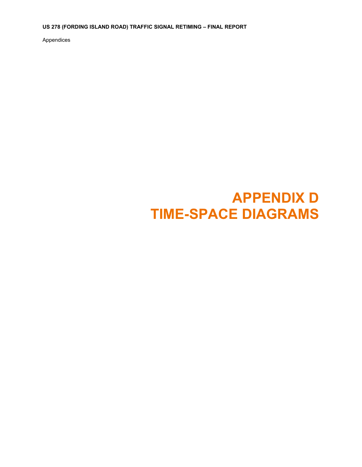**US 278 (FORDING ISLAND ROAD) TRAFFIC SIGNAL RETIMING – FINAL REPORT** 

Appendices

## **APPENDIX D TIME-SPACE DIAGRAMS**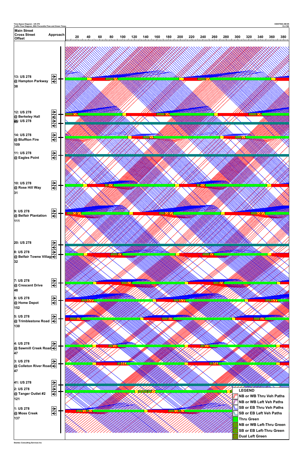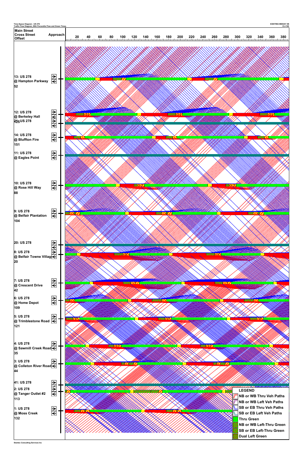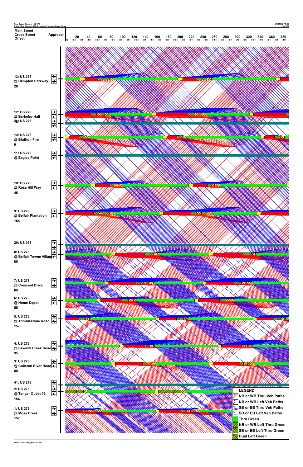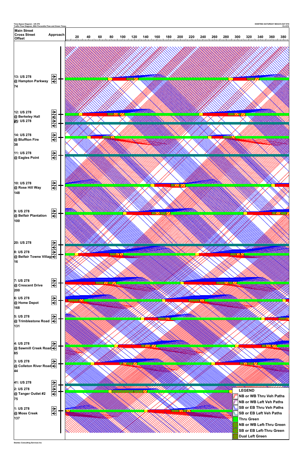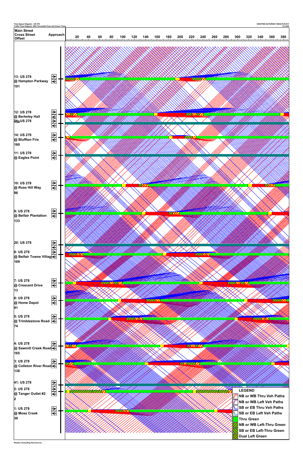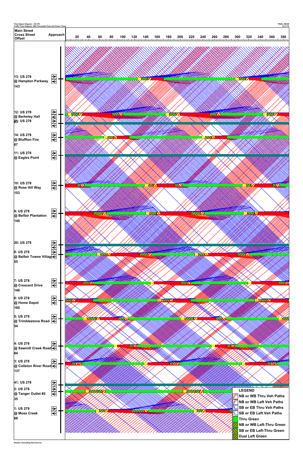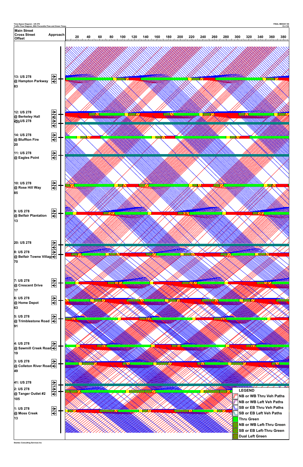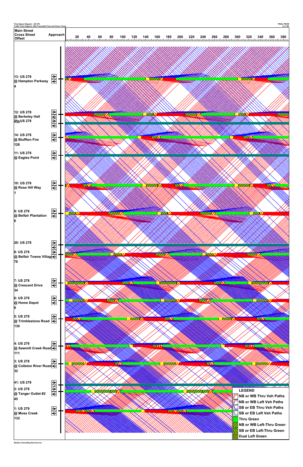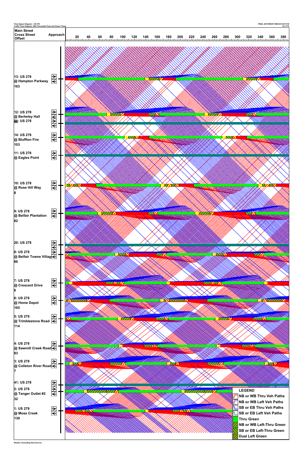